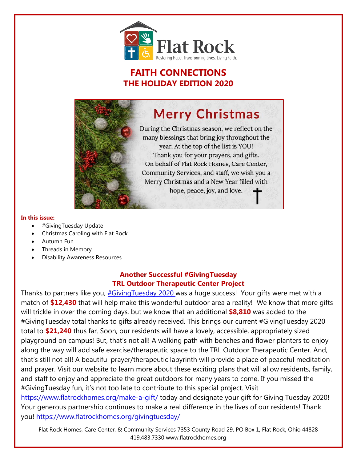

# **FAITH CONNECTIONS THE HOLIDAY EDITION 2020**

# **Merry Christmas**

During the Christmas season, we reflect on the many blessings that bring joy throughout the year. At the top of the list is YOU! Thank you for your prayers, and gifts. On behalf of Flat Rock Homes, Care Center, Community Services, and staff, we wish you a Merry Christmas and a New Year filled with hope, peace, joy, and love.

#### **In this issue:**

- #GivingTuesday Update
- Christmas Caroling with Flat Rock
- Autumn Fun
- Threads in Memory
- Disability Awareness Resources

### **Another Successful #GivingTuesday TRL Outdoor Therapeutic Center Project**

Thanks to partners like you, *#GivingTuesday 2020* was a huge success! Your gifts were met with a match of **\$12,430** that will help make this wonderful outdoor area a reality! We know that more gifts will trickle in over the coming days, but we know that an additional **\$8,810** was added to the #GivingTuesday total thanks to gifts already received. This brings our current #GivingTuesday 2020 total to **\$21,240** thus far. Soon, our residents will have a lovely, accessible, appropriately sized playground on campus! But, that's not all! A walking path with benches and flower planters to enjoy along the way will add safe exercise/therapeutic space to the TRL Outdoor Therapeutic Center. And, that's still not all! A beautiful prayer/therapeutic labyrinth will provide a place of peaceful meditation and prayer. Visit our website to learn more about these exciting plans that will allow residents, family, and staff to enjoy and appreciate the great outdoors for many years to come. If you missed the #GivingTuesday fun, it's not too late to contribute to this special project. Visit <https://www.flatrockhomes.org/make-a-gift/> today and designate your gift for Giving Tuesday 2020! Your generous partnership continues to make a real difference in the lives of our residents! Thank you!<https://www.flatrockhomes.org/givingtuesday/>

Flat Rock Homes, Care Center, & Community Services 7353 County Road 29, PO Box 1, Flat Rock, Ohio 44828 419.483.7330 www.flatrockhomes.org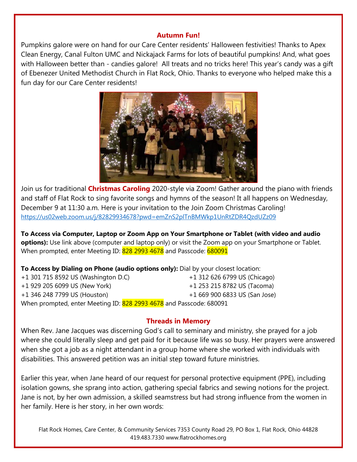## **Autumn Fun!**

Pumpkins galore were on hand for our Care Center residents' Halloween festivities! Thanks to Apex Clean Energy, Canal Fulton UMC and Nickajack Farms for lots of beautiful pumpkins! And, what goes with Halloween better than - candies galore! All treats and no tricks here! This year's candy was a gift of Ebenezer United Methodist Church in Flat Rock, Ohio. Thanks to everyone who helped make this a fun day for our Care Center residents!



Join us for traditional **Christmas Caroling** 2020-style via Zoom! Gather around the piano with friends and staff of Flat Rock to sing favorite songs and hymns of the season! It all happens on Wednesday, December 9 at 11:30 a.m. Here is your invitation to the Join Zoom Christmas Caroling! <https://us02web.zoom.us/j/82829934678?pwd=emZnS2plTnBMWkp1UnRtZDR4QzdUZz09>

**To Access via Computer, Laptop or Zoom App on Your Smartphone or Tablet (with video and audio options):** Use link above (computer and laptop only) or visit the Zoom app on your Smartphone or Tablet. When prompted, enter Meeting ID: 828 2993 4678 and Passcode: 680091

**To Access by Dialing on Phone (audio options only):** Dial by your closest location:

+1 301 715 8592 US (Washington D.C) +1 312 626 6799 US (Chicago) +1 929 205 6099 US (New York) +1 253 215 8782 US (Tacoma) +1 346 248 7799 US (Houston) +1 669 900 6833 US (San Jose) When prompted, enter Meeting ID: 828 2993 4678 and Passcode: 680091

# **Threads in Memory**

When Rev. Jane Jacques was discerning God's call to seminary and ministry, she prayed for a job where she could literally sleep and get paid for it because life was so busy. Her prayers were answered when she got a job as a night attendant in a group home where she worked with individuals with disabilities. This answered petition was an initial step toward future ministries.

Earlier this year, when Jane heard of our request for personal protective equipment (PPE), including isolation gowns, she sprang into action, gathering special fabrics and sewing notions for the project. Jane is not, by her own admission, a skilled seamstress but had strong influence from the women in her family. Here is her story, in her own words:

Flat Rock Homes, Care Center, & Community Services 7353 County Road 29, PO Box 1, Flat Rock, Ohio 44828 419.483.7330 www.flatrockhomes.org